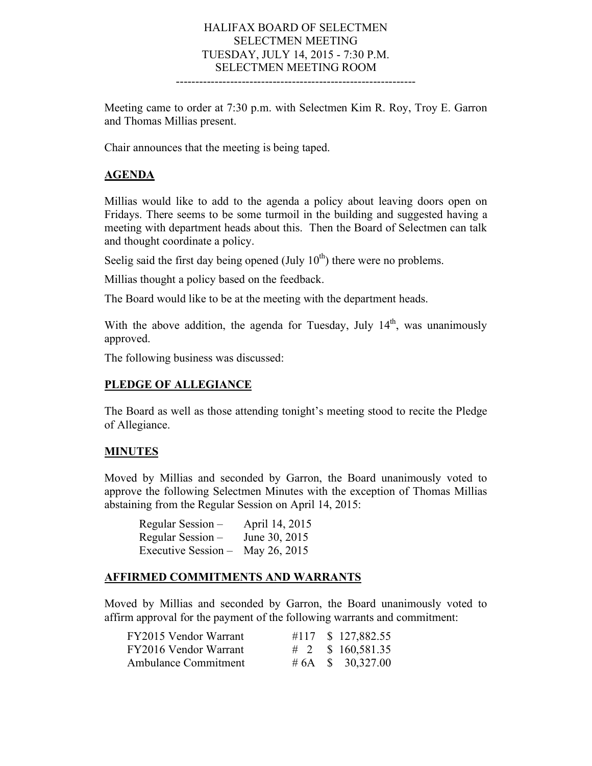## HALIFAX BOARD OF SELECTMEN SELECTMEN MEETING TUESDAY, JULY 14, 2015 - 7:30 P.M. SELECTMEN MEETING ROOM

--------------------------------------------------------------

Meeting came to order at 7:30 p.m. with Selectmen Kim R. Roy, Troy E. Garron and Thomas Millias present.

Chair announces that the meeting is being taped.

### **AGENDA**

Millias would like to add to the agenda a policy about leaving doors open on Fridays. There seems to be some turmoil in the building and suggested having a meeting with department heads about this. Then the Board of Selectmen can talk and thought coordinate a policy.

Seelig said the first day being opened (July  $10<sup>th</sup>$ ) there were no problems.

Millias thought a policy based on the feedback.

The Board would like to be at the meeting with the department heads.

With the above addition, the agenda for Tuesday, July  $14<sup>th</sup>$ , was unanimously approved.

The following business was discussed:

### **PLEDGE OF ALLEGIANCE**

The Board as well as those attending tonight's meeting stood to recite the Pledge of Allegiance.

### **MINUTES**

Moved by Millias and seconded by Garron, the Board unanimously voted to approve the following Selectmen Minutes with the exception of Thomas Millias abstaining from the Regular Session on April 14, 2015:

| Regular Session -   | April 14, 2015 |
|---------------------|----------------|
| Regular Session –   | June 30, 2015  |
| Executive Session - | May 26, 2015   |

### **AFFIRMED COMMITMENTS AND WARRANTS**

Moved by Millias and seconded by Garron, the Board unanimously voted to affirm approval for the payment of the following warrants and commitment:

| FY2015 Vendor Warrant       |  | #117 \$ 127,882.55    |
|-----------------------------|--|-----------------------|
| FY2016 Vendor Warrant       |  |                       |
| <b>Ambulance Commitment</b> |  | # 6A \ \ \$ 30,327.00 |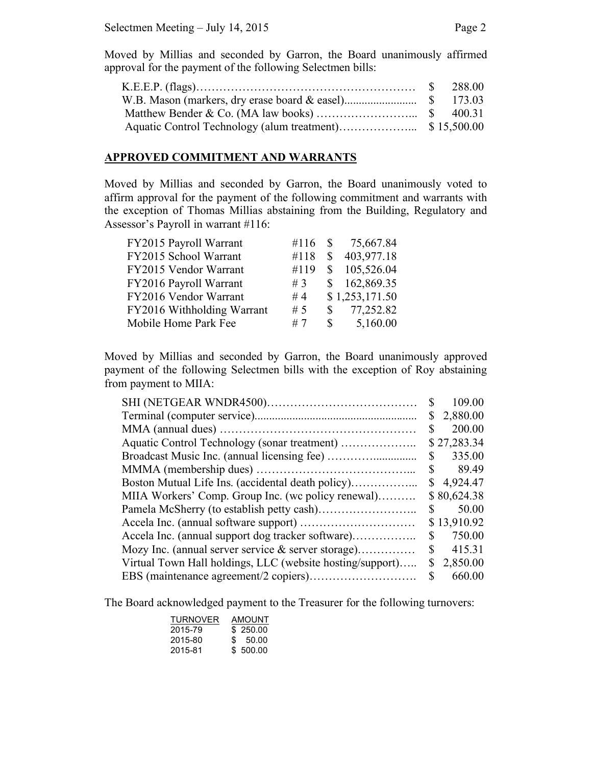Moved by Millias and seconded by Garron, the Board unanimously affirmed approval for the payment of the following Selectmen bills:

#### **APPROVED COMMITMENT AND WARRANTS**

Moved by Millias and seconded by Garron, the Board unanimously voted to affirm approval for the payment of the following commitment and warrants with the exception of Thomas Millias abstaining from the Building, Regulatory and Assessor's Payroll in warrant #116:

| FY2015 Payroll Warrant     |      |              | #116 $\text{\$}$ 75,667.84 |
|----------------------------|------|--------------|----------------------------|
| FY2015 School Warrant      | #118 | S            | 403,977.18                 |
| FY2015 Vendor Warrant      | #119 | <sup>S</sup> | 105,526.04                 |
| FY2016 Payroll Warrant     | #3   |              | \$162,869.35               |
| FY2016 Vendor Warrant      | #4   |              | \$1,253,171.50             |
| FY2016 Withholding Warrant | # 5  | S.           | 77,252.82                  |
| Mobile Home Park Fee       | #7   | S.           | 5,160.00                   |

Moved by Millias and seconded by Garron, the Board unanimously approved payment of the following Selectmen bills with the exception of Roy abstaining from payment to MIIA:

|                                                           | S            | 109.00      |
|-----------------------------------------------------------|--------------|-------------|
|                                                           | S            | 2,880.00    |
|                                                           | \$           | 200.00      |
|                                                           |              | \$27,283.34 |
|                                                           | $\mathbb{S}$ | 335.00      |
|                                                           |              | $\$\,89.49$ |
|                                                           |              | \$4,924.47  |
| MIIA Workers' Comp. Group Inc. (we policy renewal)        |              | \$80,624.38 |
|                                                           | S            | 50.00       |
|                                                           |              | \$13,910.92 |
| Accela Inc. (annual support dog tracker software)         | S.           | 750.00      |
| Mozy Inc. (annual server service & server storage)        | \$           | 415.31      |
| Virtual Town Hall holdings, LLC (website hosting/support) | \$           | 2,850.00    |
|                                                           | <sup>S</sup> | 660.00      |

The Board acknowledged payment to the Treasurer for the following turnovers:

| <b>TURNOVER</b> | <b>AMOUNT</b> |
|-----------------|---------------|
| 2015-79         | \$250.00      |
| 2015-80         | \$ 50.00      |
| 2015-81         | \$500.00      |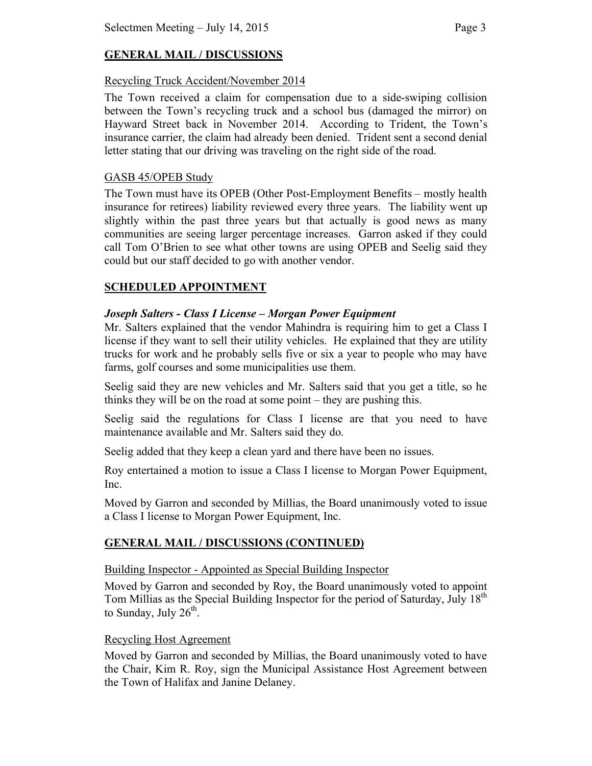# **GENERAL MAIL / DISCUSSIONS**

## Recycling Truck Accident/November 2014

The Town received a claim for compensation due to a side-swiping collision between the Town's recycling truck and a school bus (damaged the mirror) on Hayward Street back in November 2014. According to Trident, the Town's insurance carrier, the claim had already been denied. Trident sent a second denial letter stating that our driving was traveling on the right side of the road.

## GASB 45/OPEB Study

The Town must have its OPEB (Other Post-Employment Benefits – mostly health insurance for retirees) liability reviewed every three years. The liability went up slightly within the past three years but that actually is good news as many communities are seeing larger percentage increases. Garron asked if they could call Tom O'Brien to see what other towns are using OPEB and Seelig said they could but our staff decided to go with another vendor.

# **SCHEDULED APPOINTMENT**

## *Joseph Salters - Class I License – Morgan Power Equipment*

Mr. Salters explained that the vendor Mahindra is requiring him to get a Class I license if they want to sell their utility vehicles. He explained that they are utility trucks for work and he probably sells five or six a year to people who may have farms, golf courses and some municipalities use them.

Seelig said they are new vehicles and Mr. Salters said that you get a title, so he thinks they will be on the road at some point – they are pushing this.

Seelig said the regulations for Class I license are that you need to have maintenance available and Mr. Salters said they do.

Seelig added that they keep a clean yard and there have been no issues.

Roy entertained a motion to issue a Class I license to Morgan Power Equipment, Inc.

Moved by Garron and seconded by Millias, the Board unanimously voted to issue a Class I license to Morgan Power Equipment, Inc.

## **GENERAL MAIL / DISCUSSIONS (CONTINUED)**

### Building Inspector - Appointed as Special Building Inspector

Moved by Garron and seconded by Roy, the Board unanimously voted to appoint Tom Millias as the Special Building Inspector for the period of Saturday, July 18<sup>th</sup> to Sunday, July  $26<sup>th</sup>$ .

### Recycling Host Agreement

Moved by Garron and seconded by Millias, the Board unanimously voted to have the Chair, Kim R. Roy, sign the Municipal Assistance Host Agreement between the Town of Halifax and Janine Delaney.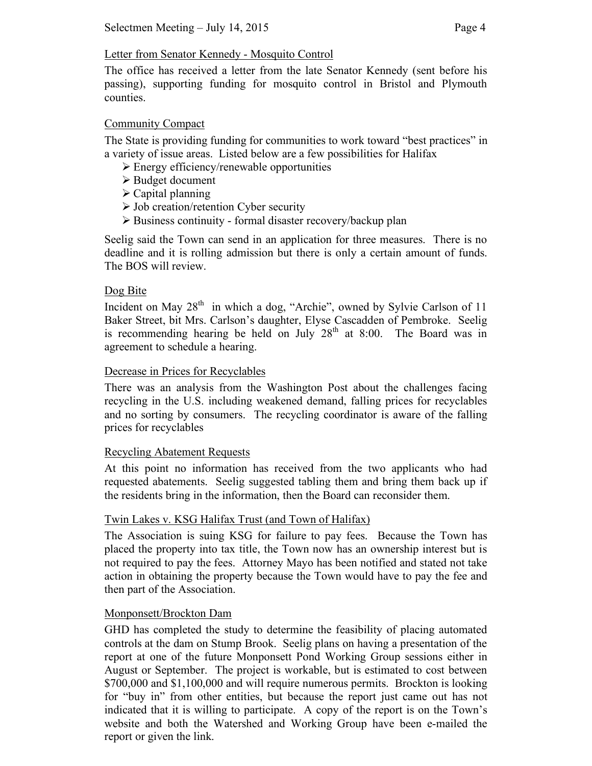## Letter from Senator Kennedy - Mosquito Control

The office has received a letter from the late Senator Kennedy (sent before his passing), supporting funding for mosquito control in Bristol and Plymouth counties.

## Community Compact

The State is providing funding for communities to work toward "best practices" in a variety of issue areas. Listed below are a few possibilities for Halifax

- $\triangleright$  Energy efficiency/renewable opportunities
- $\triangleright$  Budget document
- $\triangleright$  Capital planning
- $\triangleright$  Job creation/retention Cyber security
- $\triangleright$  Business continuity formal disaster recovery/backup plan

Seelig said the Town can send in an application for three measures. There is no deadline and it is rolling admission but there is only a certain amount of funds. The BOS will review.

## Dog Bite

Incident on May 28<sup>th</sup> in which a dog, "Archie", owned by Sylvie Carlson of 11 Baker Street, bit Mrs. Carlson's daughter, Elyse Cascadden of Pembroke. Seelig is recommending hearing be held on July  $28<sup>th</sup>$  at 8:00. The Board was in agreement to schedule a hearing.

## Decrease in Prices for Recyclables

There was an analysis from the Washington Post about the challenges facing recycling in the U.S. including weakened demand, falling prices for recyclables and no sorting by consumers. The recycling coordinator is aware of the falling prices for recyclables

## Recycling Abatement Requests

At this point no information has received from the two applicants who had requested abatements. Seelig suggested tabling them and bring them back up if the residents bring in the information, then the Board can reconsider them.

## Twin Lakes v. KSG Halifax Trust (and Town of Halifax)

The Association is suing KSG for failure to pay fees. Because the Town has placed the property into tax title, the Town now has an ownership interest but is not required to pay the fees. Attorney Mayo has been notified and stated not take action in obtaining the property because the Town would have to pay the fee and then part of the Association.

### Monponsett/Brockton Dam

GHD has completed the study to determine the feasibility of placing automated controls at the dam on Stump Brook. Seelig plans on having a presentation of the report at one of the future Monponsett Pond Working Group sessions either in August or September. The project is workable, but is estimated to cost between \$700,000 and \$1,100,000 and will require numerous permits. Brockton is looking for "buy in" from other entities, but because the report just came out has not indicated that it is willing to participate. A copy of the report is on the Town's website and both the Watershed and Working Group have been e-mailed the report or given the link.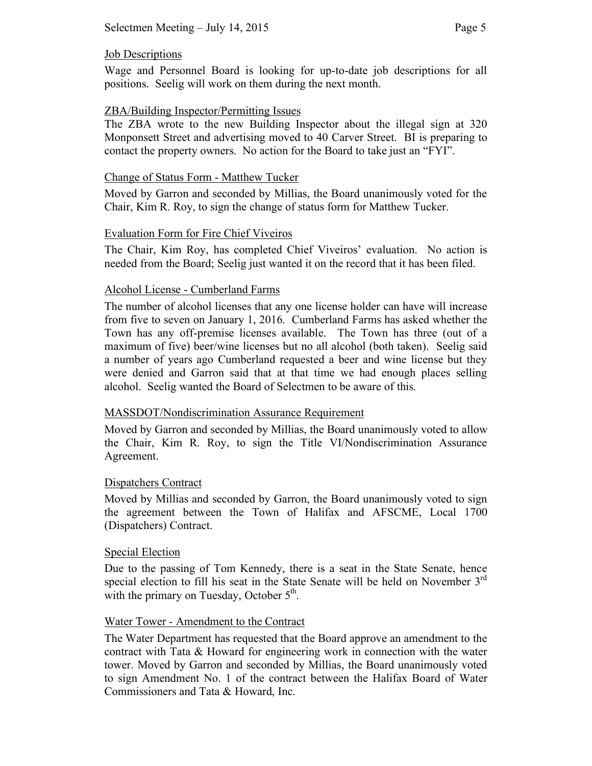## Job Descriptions

Wage and Personnel Board is looking for up-to-date job descriptions for all positions. Seelig will work on them during the next month.

# ZBA/Building Inspector/Permitting Issues

The ZBA wrote to the new Building Inspector about the illegal sign at 320 Monponsett Street and advertising moved to 40 Carver Street. BI is preparing to contact the property owners. No action for the Board to take just an "FYI".

# Change of Status Form - Matthew Tucker

Moved by Garron and seconded by Millias, the Board unanimously voted for the Chair, Kim R. Roy, to sign the change of status form for Matthew Tucker.

# Evaluation Form for Fire Chief Viveiros

The Chair, Kim Roy, has completed Chief Viveiros' evaluation. No action is needed from the Board; Seelig just wanted it on the record that it has been filed.

# Alcohol License - Cumberland Farms

The number of alcohol licenses that any one license holder can have will increase from five to seven on January 1, 2016. Cumberland Farms has asked whether the Town has any off-premise licenses available. The Town has three (out of a maximum of five) beer/wine licenses but no all alcohol (both taken). Seelig said a number of years ago Cumberland requested a beer and wine license but they were denied and Garron said that at that time we had enough places selling alcohol. Seelig wanted the Board of Selectmen to be aware of this.

# MASSDOT/Nondiscrimination Assurance Requirement

Moved by Garron and seconded by Millias, the Board unanimously voted to allow the Chair, Kim R. Roy, to sign the Title VI/Nondiscrimination Assurance Agreement.

# Dispatchers Contract

Moved by Millias and seconded by Garron, the Board unanimously voted to sign the agreement between the Town of Halifax and AFSCME, Local 1700 (Dispatchers) Contract.

## Special Election

Due to the passing of Tom Kennedy, there is a seat in the State Senate, hence special election to fill his seat in the State Senate will be held on November  $3<sup>rd</sup>$ with the primary on Tuesday, October  $5<sup>th</sup>$ .

## Water Tower - Amendment to the Contract

The Water Department has requested that the Board approve an amendment to the contract with Tata & Howard for engineering work in connection with the water tower. Moved by Garron and seconded by Millias, the Board unanimously voted to sign Amendment No. 1 of the contract between the Halifax Board of Water Commissioners and Tata & Howard, Inc.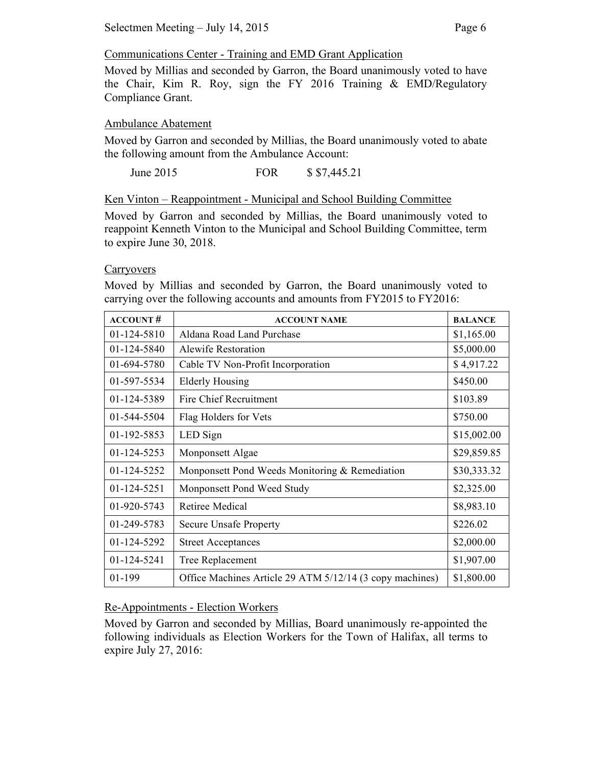# Communications Center - Training and EMD Grant Application

Moved by Millias and seconded by Garron, the Board unanimously voted to have the Chair, Kim R. Roy, sign the FY 2016 Training & EMD/Regulatory Compliance Grant.

# Ambulance Abatement

Moved by Garron and seconded by Millias, the Board unanimously voted to abate the following amount from the Ambulance Account:

June 2015 FOR \$ \$7,445.21

Ken Vinton – Reappointment - Municipal and School Building Committee

Moved by Garron and seconded by Millias, the Board unanimously voted to reappoint Kenneth Vinton to the Municipal and School Building Committee, term to expire June 30, 2018.

## **Carryovers**

Moved by Millias and seconded by Garron, the Board unanimously voted to carrying over the following accounts and amounts from FY2015 to FY2016:

| <b>ACCOUNT#</b>   | <b>ACCOUNT NAME</b>                                      | <b>BALANCE</b> |
|-------------------|----------------------------------------------------------|----------------|
| 01-124-5810       | Aldana Road Land Purchase                                | \$1,165.00     |
| 01-124-5840       | Alewife Restoration                                      | \$5,000.00     |
| 01-694-5780       | Cable TV Non-Profit Incorporation                        | \$4,917.22     |
| 01-597-5534       | Elderly Housing                                          | \$450.00       |
| 01-124-5389       | Fire Chief Recruitment                                   | \$103.89       |
| 01-544-5504       | Flag Holders for Vets                                    | \$750.00       |
| 01-192-5853       | LED Sign                                                 | \$15,002.00    |
| $01 - 124 - 5253$ | Monponsett Algae                                         | \$29,859.85    |
| $01-124-5252$     | Monponsett Pond Weeds Monitoring & Remediation           | \$30,333.32    |
| 01-124-5251       | Monponsett Pond Weed Study                               | \$2,325.00     |
| $01-920-5743$     | Retiree Medical                                          | \$8,983.10     |
| 01-249-5783       | <b>Secure Unsafe Property</b>                            | \$226.02       |
| 01-124-5292       | <b>Street Acceptances</b>                                | \$2,000.00     |
| $01 - 124 - 5241$ | Tree Replacement                                         | \$1,907.00     |
| 01-199            | Office Machines Article 29 ATM 5/12/14 (3 copy machines) | \$1,800.00     |

## Re-Appointments - Election Workers

Moved by Garron and seconded by Millias, Board unanimously re-appointed the following individuals as Election Workers for the Town of Halifax, all terms to expire July 27, 2016: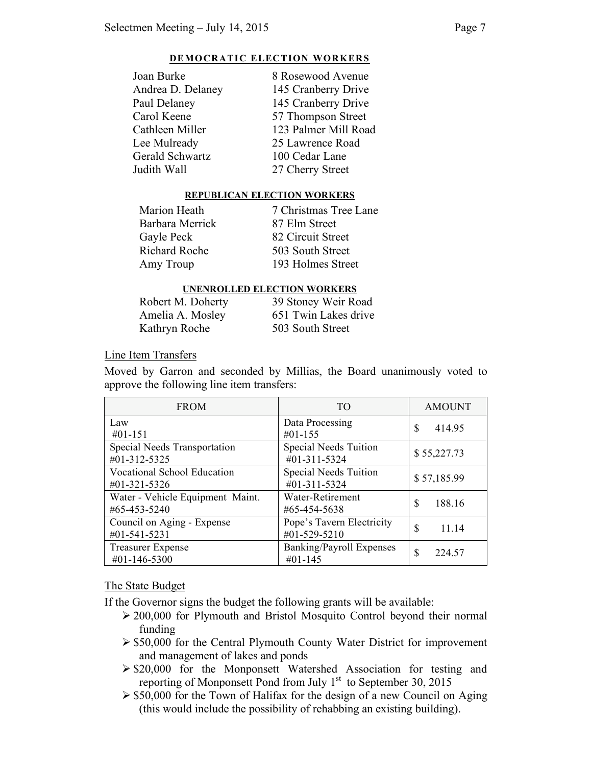#### **DEMOCRATIC ELECTION WORKERS**

| Joan Burke        | 8 Rosewood Avenue    |
|-------------------|----------------------|
| Andrea D. Delaney | 145 Cranberry Drive  |
| Paul Delaney      | 145 Cranberry Drive  |
| Carol Keene       | 57 Thompson Street   |
| Cathleen Miller   | 123 Palmer Mill Road |
| Lee Mulready      | 25 Lawrence Road     |
| Gerald Schwartz   | 100 Cedar Lane       |
| Judith Wall       | 27 Cherry Street     |
|                   |                      |

#### **REPUBLICAN ELECTION WORKERS**

Tree Lane

**Street** 

| Marion Heath    | 7 Christmas Tree  |
|-----------------|-------------------|
| Barbara Merrick | 87 Elm Street     |
| Gayle Peck      | 82 Circuit Street |
| Richard Roche   | 503 South Street  |
| Amy Troup       | 193 Holmes Stre   |
|                 |                   |

#### **UNENROLLED ELECTION WORKERS**

| Robert M. Doherty | 39 Stoney Weir Road  |
|-------------------|----------------------|
| Amelia A. Mosley  | 651 Twin Lakes drive |
| Kathryn Roche     | 503 South Street     |

Line Item Transfers

Moved by Garron and seconded by Millias, the Board unanimously voted to approve the following line item transfers:

| <b>FROM</b>                                  | T <sub>O</sub>                        | <b>AMOUNT</b> |
|----------------------------------------------|---------------------------------------|---------------|
| Law                                          | Data Processing                       | S             |
| $#01-151$                                    | #01-155                               | 414.95        |
| Special Needs Transportation<br>#01-312-5325 | Special Needs Tuition<br>#01-311-5324 | \$55,227.73   |
| Vocational School Education<br>#01-321-5326  | Special Needs Tuition<br>#01-311-5324 | \$57,185.99   |
| Water - Vehicle Equipment Maint.             | Water-Retirement                      | S             |
| #65-453-5240                                 | #65-454-5638                          | 188.16        |
| Council on Aging - Expense                   | Pope's Tavern Electricity             | S             |
| #01-541-5231                                 | #01-529-5210                          | 11.14         |
| <b>Treasurer Expense</b>                     | Banking/Payroll Expenses              | S             |
| #01-146-5300                                 | $#01-145$                             | 224.57        |

### The State Budget

If the Governor signs the budget the following grants will be available:

- 200,000 for Plymouth and Bristol Mosquito Control beyond their normal funding
- $\geq$  \$50,000 for the Central Plymouth County Water District for improvement and management of lakes and ponds
- $\geq$  \$20,000 for the Monponsett Watershed Association for testing and reporting of Monponsett Pond from July  $1<sup>st</sup>$  to September 30, 2015
- $\geq$  \$50,000 for the Town of Halifax for the design of a new Council on Aging (this would include the possibility of rehabbing an existing building).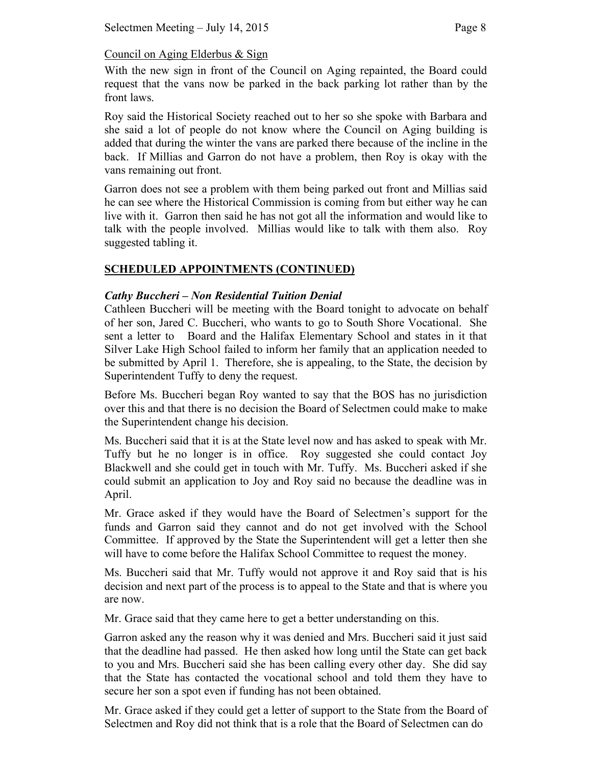# Council on Aging Elderbus & Sign

With the new sign in front of the Council on Aging repainted, the Board could request that the vans now be parked in the back parking lot rather than by the front laws.

Roy said the Historical Society reached out to her so she spoke with Barbara and she said a lot of people do not know where the Council on Aging building is added that during the winter the vans are parked there because of the incline in the back. If Millias and Garron do not have a problem, then Roy is okay with the vans remaining out front.

Garron does not see a problem with them being parked out front and Millias said he can see where the Historical Commission is coming from but either way he can live with it. Garron then said he has not got all the information and would like to talk with the people involved. Millias would like to talk with them also. Roy suggested tabling it.

## **SCHEDULED APPOINTMENTS (CONTINUED)**

## *Cathy Buccheri – Non Residential Tuition Denial*

Cathleen Buccheri will be meeting with the Board tonight to advocate on behalf of her son, Jared C. Buccheri, who wants to go to South Shore Vocational. She sent a letter to Board and the Halifax Elementary School and states in it that Silver Lake High School failed to inform her family that an application needed to be submitted by April 1. Therefore, she is appealing, to the State, the decision by Superintendent Tuffy to deny the request.

Before Ms. Buccheri began Roy wanted to say that the BOS has no jurisdiction over this and that there is no decision the Board of Selectmen could make to make the Superintendent change his decision.

Ms. Buccheri said that it is at the State level now and has asked to speak with Mr. Tuffy but he no longer is in office. Roy suggested she could contact Joy Blackwell and she could get in touch with Mr. Tuffy. Ms. Buccheri asked if she could submit an application to Joy and Roy said no because the deadline was in April.

Mr. Grace asked if they would have the Board of Selectmen's support for the funds and Garron said they cannot and do not get involved with the School Committee. If approved by the State the Superintendent will get a letter then she will have to come before the Halifax School Committee to request the money.

Ms. Buccheri said that Mr. Tuffy would not approve it and Roy said that is his decision and next part of the process is to appeal to the State and that is where you are now.

Mr. Grace said that they came here to get a better understanding on this.

Garron asked any the reason why it was denied and Mrs. Buccheri said it just said that the deadline had passed. He then asked how long until the State can get back to you and Mrs. Buccheri said she has been calling every other day. She did say that the State has contacted the vocational school and told them they have to secure her son a spot even if funding has not been obtained.

Mr. Grace asked if they could get a letter of support to the State from the Board of Selectmen and Roy did not think that is a role that the Board of Selectmen can do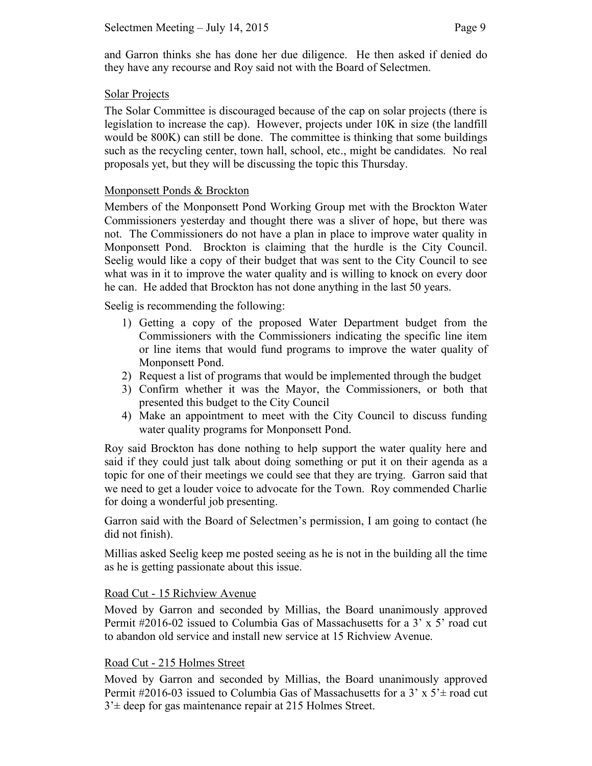and Garron thinks she has done her due diligence. He then asked if denied do they have any recourse and Roy said not with the Board of Selectmen.

### Solar Projects

The Solar Committee is discouraged because of the cap on solar projects (there is legislation to increase the cap). However, projects under 10K in size (the landfill would be 800K) can still be done. The committee is thinking that some buildings such as the recycling center, town hall, school, etc., might be candidates. No real proposals yet, but they will be discussing the topic this Thursday.

## Monponsett Ponds & Brockton

Members of the Monponsett Pond Working Group met with the Brockton Water Commissioners yesterday and thought there was a sliver of hope, but there was not. The Commissioners do not have a plan in place to improve water quality in Monponsett Pond. Brockton is claiming that the hurdle is the City Council. Seelig would like a copy of their budget that was sent to the City Council to see what was in it to improve the water quality and is willing to knock on every door he can. He added that Brockton has not done anything in the last 50 years.

Seelig is recommending the following:

- 1) Getting a copy of the proposed Water Department budget from the Commissioners with the Commissioners indicating the specific line item or line items that would fund programs to improve the water quality of Monponsett Pond.
- 2) Request a list of programs that would be implemented through the budget
- 3) Confirm whether it was the Mayor, the Commissioners, or both that presented this budget to the City Council
- 4) Make an appointment to meet with the City Council to discuss funding water quality programs for Monponsett Pond.

Roy said Brockton has done nothing to help support the water quality here and said if they could just talk about doing something or put it on their agenda as a topic for one of their meetings we could see that they are trying. Garron said that we need to get a louder voice to advocate for the Town. Roy commended Charlie for doing a wonderful job presenting.

Garron said with the Board of Selectmen's permission, I am going to contact (he did not finish).

Millias asked Seelig keep me posted seeing as he is not in the building all the time as he is getting passionate about this issue.

### Road Cut - 15 Richview Avenue

Moved by Garron and seconded by Millias, the Board unanimously approved Permit #2016-02 issued to Columbia Gas of Massachusetts for a 3' x 5' road cut to abandon old service and install new service at 15 Richview Avenue.

### Road Cut - 215 Holmes Street

Moved by Garron and seconded by Millias, the Board unanimously approved Permit #2016-03 issued to Columbia Gas of Massachusetts for a 3'  $x$  5' ± road cut  $3<sup>2</sup>$  deep for gas maintenance repair at 215 Holmes Street.